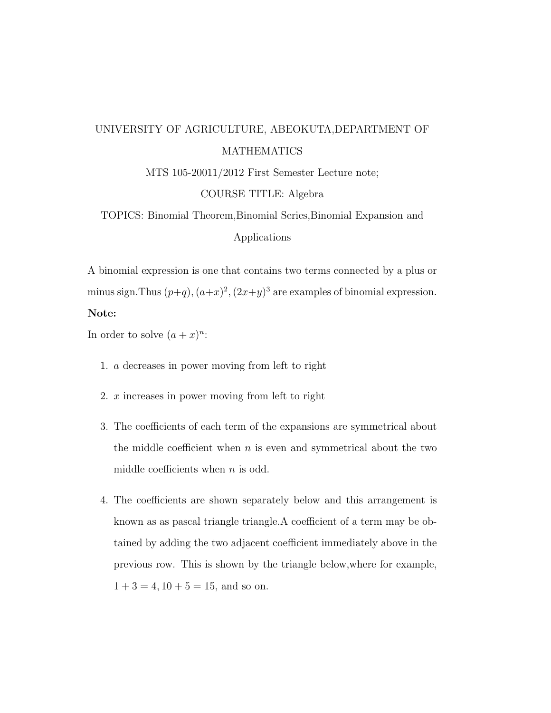# UNIVERSITY OF AGRICULTURE, ABEOKUTA,DEPARTMENT OF MATHEMATICS

MTS 105-20011/2012 First Semester Lecture note;

## COURSE TITLE: Algebra

TOPICS: Binomial Theorem,Binomial Series,Binomial Expansion and Applications

A binomial expression is one that contains two terms connected by a plus or minus sign. Thus  $(p+q)$ ,  $(a+x)^2$ ,  $(2x+y)^3$  are examples of binomial expression. Note:

In order to solve  $(a+x)^n$ :

- 1. a decreases in power moving from left to right
- 2. x increases in power moving from left to right
- 3. The coefficients of each term of the expansions are symmetrical about the middle coefficient when  $n$  is even and symmetrical about the two middle coefficients when  $n$  is odd.
- 4. The coefficients are shown separately below and this arrangement is known as as pascal triangle triangle.A coefficient of a term may be obtained by adding the two adjacent coefficient immediately above in the previous row. This is shown by the triangle below,where for example,  $1 + 3 = 4, 10 + 5 = 15$ , and so on.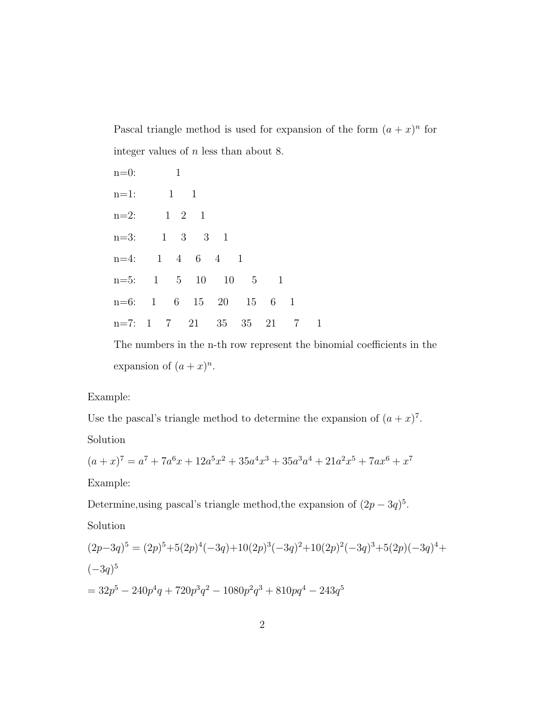Pascal triangle method is used for expansion of the form  $(a+x)^n$  for integer values of  $n$  less than about 8.

n=0: 1 n=1: 1 1 n=2: 1 2 1 n=3: 1 3 3 1 n=4: 1 4 6 4 1 n=5: 1 5 10 10 5 1 n=6: 1 6 15 20 15 6 1 n=7: 1 7 21 35 35 21 7 1

The numbers in the n-th row represent the binomial coefficients in the expansion of  $(a+x)^n$ .

#### Example:

Use the pascal's triangle method to determine the expansion of  $(a+x)^7$ .

#### Solution

$$
(a+x)^7 = a^7 + 7a^6x + 12a^5x^2 + 35a^4x^3 + 35a^3a^4 + 21a^2x^5 + 7ax^6 + x^7
$$

Example:

Determine, using pascal's triangle method, the expansion of  $(2p - 3q)^5$ .

Solution

$$
(2p-3q)^5 = (2p)^5 + 5(2p)^4(-3q) + 10(2p)^3(-3q)^2 + 10(2p)^2(-3q)^3 + 5(2p)(-3q)^4 +
$$
  

$$
(-3q)^5
$$
  

$$
= 32p^5 - 240p^4q + 720p^3q^2 - 1080p^2q^3 + 810pq^4 - 243q^5
$$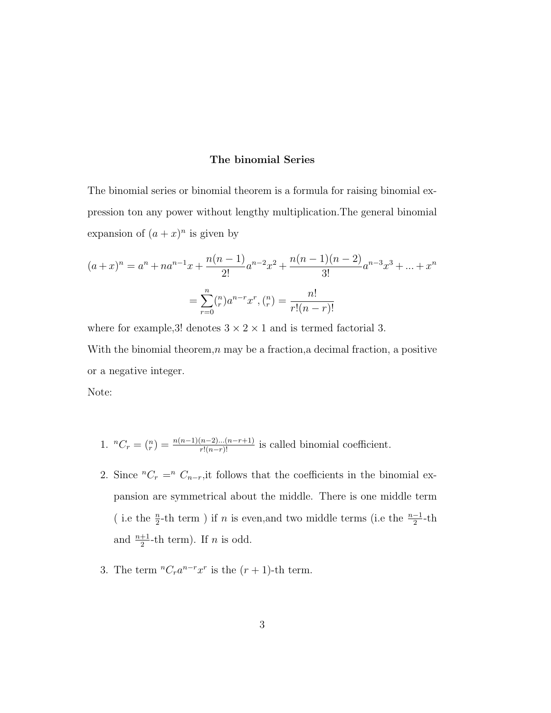#### The binomial Series

The binomial series or binomial theorem is a formula for raising binomial expression ton any power without lengthy multiplication.The general binomial expansion of  $(a+x)^n$  is given by

$$
(a+x)^n = a^n + na^{n-1}x + \frac{n(n-1)}{2!}a^{n-2}x^2 + \frac{n(n-1)(n-2)}{3!}a^{n-3}x^3 + \dots + x^n
$$

$$
= \sum_{r=0}^n {n \choose r}a^{n-r}x^r, {n \choose r} = \frac{n!}{r!(n-r)!}
$$

where for example,<br>3! denotes  $3\times2\times1$  and is termed factorial 3. With the binomial theorem, $n \text{ may be a fraction, a decimal fraction, a positive}$ or a negative integer.

Note:

- 1.  ${}^{n}C_{r} = \binom{n}{r} = \frac{n(n-1)(n-2)...(n-r+1)}{r!(n-r)!}$  is called binomial coefficient.
- 2. Since  ${}^{n}C_{r} = {}^{n}C_{n-r}$ , it follows that the coefficients in the binomial expansion are symmetrical about the middle. There is one middle term ( i.e the  $\frac{n}{2}$ -th term ) if n is even,<br>and two middle terms (i.e the  $\frac{n-1}{2}$ -th and  $\frac{n+1}{2}$ -th term). If *n* is odd.
- 3. The term  ${}^nC_r a^{n-r}x^r$  is the  $(r + 1)$ -th term.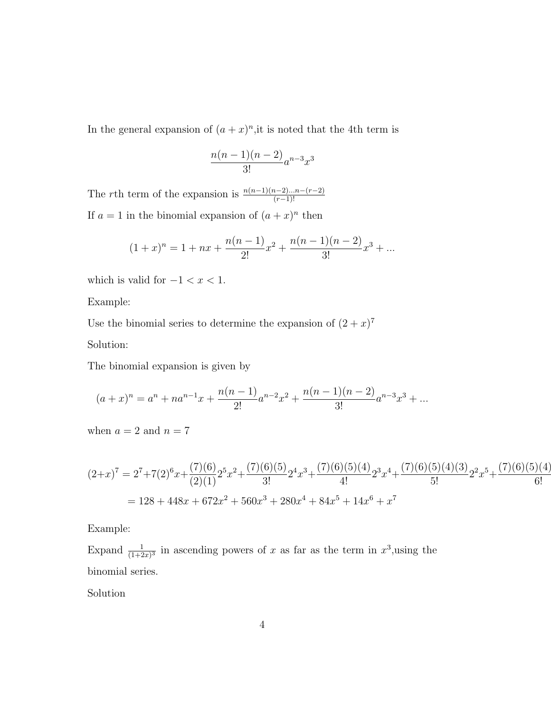In the general expansion of  $(a+x)^n$ , it is noted that the 4th term is

$$
\frac{n(n-1)(n-2)}{3!}a^{n-3}x^3
$$

The rth term of the expansion is  $\frac{n(n-1)(n-2)...n-(r-2)}{(r-1)!}$ If  $a = 1$  in the binomial expansion of  $(a + x)^n$  then

$$
(1+x)^n = 1 + nx + \frac{n(n-1)}{2!}x^2 + \frac{n(n-1)(n-2)}{3!}x^3 + \dots
$$

which is valid for  $-1 < x < 1$ .

Example:

Use the binomial series to determine the expansion of  $(2+x)^7$ 

Solution:

The binomial expansion is given by

$$
(a+x)^n = a^n + na^{n-1}x + \frac{n(n-1)}{2!}a^{n-2}x^2 + \frac{n(n-1)(n-2)}{3!}a^{n-3}x^3 + \dots
$$

when  $a = 2$  and  $n = 7$ 

$$
(2+x)^7 = 2^7 + 7(2)^6x + \frac{(7)(6)}{(2)(1)}2^5x^2 + \frac{(7)(6)(5)}{3!}2^4x^3 + \frac{(7)(6)(5)(4)}{4!}2^3x^4 + \frac{(7)(6)(5)(4)(3)}{5!}2^2x^5 + \frac{(7)(6)(5)(4)}{6!}
$$
  
= 128 + 448x + 672x<sup>2</sup> + 560x<sup>3</sup> + 280x<sup>4</sup> + 84x<sup>5</sup> + 14x<sup>6</sup> + x<sup>7</sup>

Example:

Expand  $\frac{1}{(1+2x)^3}$  in ascending powers of x as far as the term in  $x^3$ , using the binomial series.

Solution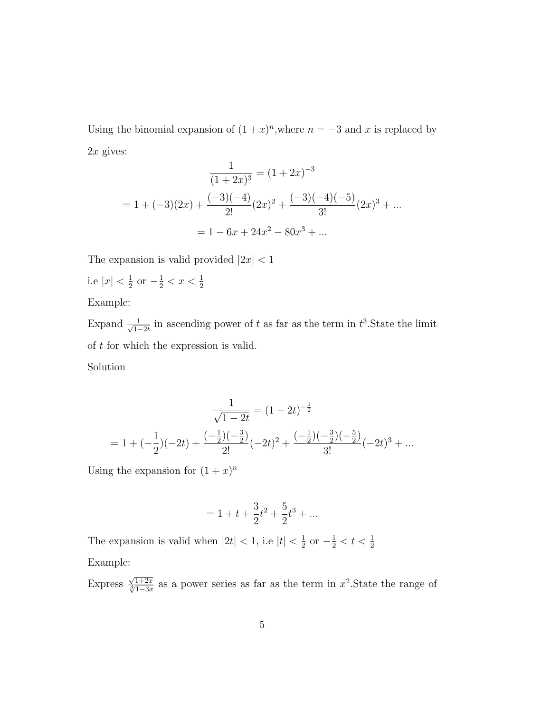Using the binomial expansion of  $(1+x)^n$ , where  $n = -3$  and x is replaced by  $2x$  gives:

$$
\frac{1}{(1+2x)^3} = (1+2x)^{-3}
$$

$$
= 1 + (-3)(2x) + \frac{(-3)(-4)}{2!}(2x)^2 + \frac{(-3)(-4)(-5)}{3!}(2x)^3 + \dots
$$

$$
= 1 - 6x + 24x^2 - 80x^3 + \dots
$$

The expansion is valid provided  $|2x| < 1$ i.e  $|x| < \frac{1}{2}$ 

i.e 
$$
|x| < \frac{1}{2}
$$
 or  $-\frac{1}{2} < x < \frac{1}{2}$ 

Example:

Expand  $\frac{1}{\sqrt{1}}$  $\frac{1}{1-2t}$  in ascending power of t as far as the term in  $t^3$ . State the limit of t for which the expression is valid.

Solution

$$
\frac{1}{\sqrt{1-2t}} = (1-2t)^{-\frac{1}{2}}
$$

$$
= 1 + (-\frac{1}{2})(-2t) + \frac{(-\frac{1}{2})(-\frac{3}{2})}{2!}(-2t)^2 + \frac{(-\frac{1}{2})(-\frac{3}{2})(-\frac{5}{2})}{3!}(-2t)^3 + \dots
$$

Using the expansion for  $(1+x)^n$ 

$$
= 1 + t + \frac{3}{2}t^2 + \frac{5}{2}t^3 + \ldots
$$

The expansion is valid when  $|2t| < 1$ , i.e  $|t| < \frac{1}{2}$  $\frac{1}{2}$  or  $-\frac{1}{2} < t < \frac{1}{2}$ Example:

Express  $\frac{\sqrt{1+2x}}{\sqrt[3]{1-3x}}$  as a power series as far as the term in  $x^2$ . State the range of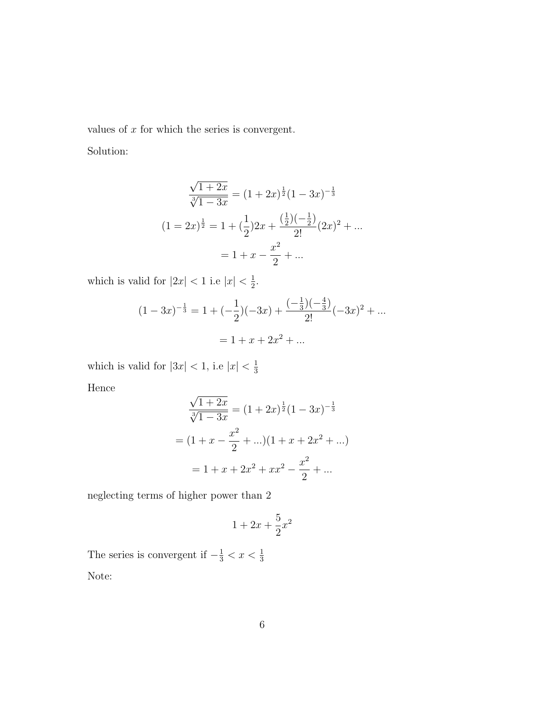values of  $x$  for which the series is convergent.

Solution:

$$
\frac{\sqrt{1+2x}}{\sqrt[3]{1-3x}} = (1+2x)^{\frac{1}{2}}(1-3x)^{-\frac{1}{3}}
$$

$$
(1=2x)^{\frac{1}{2}} = 1 + (\frac{1}{2})2x + \frac{(\frac{1}{2})(-\frac{1}{2})}{2!}(2x)^2 + \dots
$$

$$
= 1 + x - \frac{x^2}{2} + \dots
$$

which is valid for  $|2x| < 1$  i.e  $|x| < \frac{1}{2}$  $\frac{1}{2}$ .

$$
(1 - 3x)^{-\frac{1}{3}} = 1 + (-\frac{1}{2})(-3x) + \frac{(-\frac{1}{3})(-\frac{4}{3})}{2!}(-3x)^2 + \dots
$$

$$
= 1 + x + 2x^2 + \dots
$$

which is valid for  $|3x| < 1$ , i.e  $|x| < \frac{1}{3}$ 3

Hence

$$
\frac{\sqrt{1+2x}}{\sqrt[3]{1-3x}} = (1+2x)^{\frac{1}{2}}(1-3x)^{-\frac{1}{3}}
$$

$$
= (1+x-\frac{x^2}{2}+\ldots)(1+x+2x^2+\ldots)
$$

$$
= 1+x+2x^2+xx^2-\frac{x^2}{2}+\ldots
$$

neglecting terms of higher power than 2

$$
1 + 2x + \frac{5}{2}x^2
$$

The series is convergent if  $-\frac{1}{3} < x < \frac{1}{3}$ Note: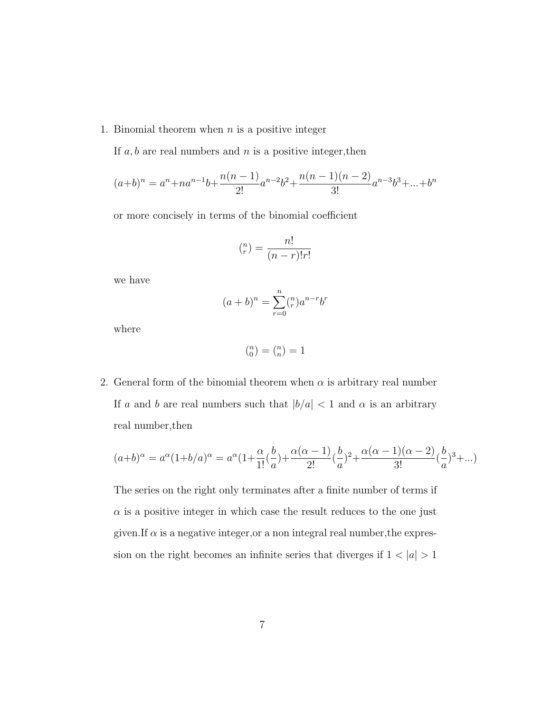1. Binomial theorem when  $n$  is a positive integer

If  $a, b$  are real numbers and  $n$  is a positive integer, then

$$
(a+b)^n = a^n + na^{n-1}b + \frac{n(n-1)}{2!}a^{n-2}b^2 + \frac{n(n-1)(n-2)}{3!}a^{n-3}b^3 + \dots + b^n
$$

or more concisely in terms of the binomial coefficient

$$
\binom{n}{r} = \frac{n!}{(n-r)!r!}
$$

we have

$$
(a+b)^n = \sum_{r=0}^n {n \choose r} a^{n-r} b^r
$$

where

$$
\tbinom{n}{0}=\tbinom{n}{n}=1
$$

2. General form of the binomial theorem when  $\alpha$  is arbitrary real number If a and b are real numbers such that  $|b/a| < 1$  and  $\alpha$  is an arbitrary real number,then

$$
(a+b)^{\alpha} = a^{\alpha}(1+b/a)^{\alpha} = a^{\alpha}(1+\frac{\alpha}{1!}(\frac{b}{a})+\frac{\alpha(\alpha-1)}{2!}(\frac{b}{a})^2+\frac{\alpha(\alpha-1)(\alpha-2)}{3!}(\frac{b}{a})^3+...)
$$

The series on the right only terminates after a finite number of terms if  $\alpha$  is a positive integer in which case the result reduces to the one just given.If  $\alpha$  is a negative integer, or a non integral real number, the expression on the right becomes an infinite series that diverges if  $1 < |a| > 1$